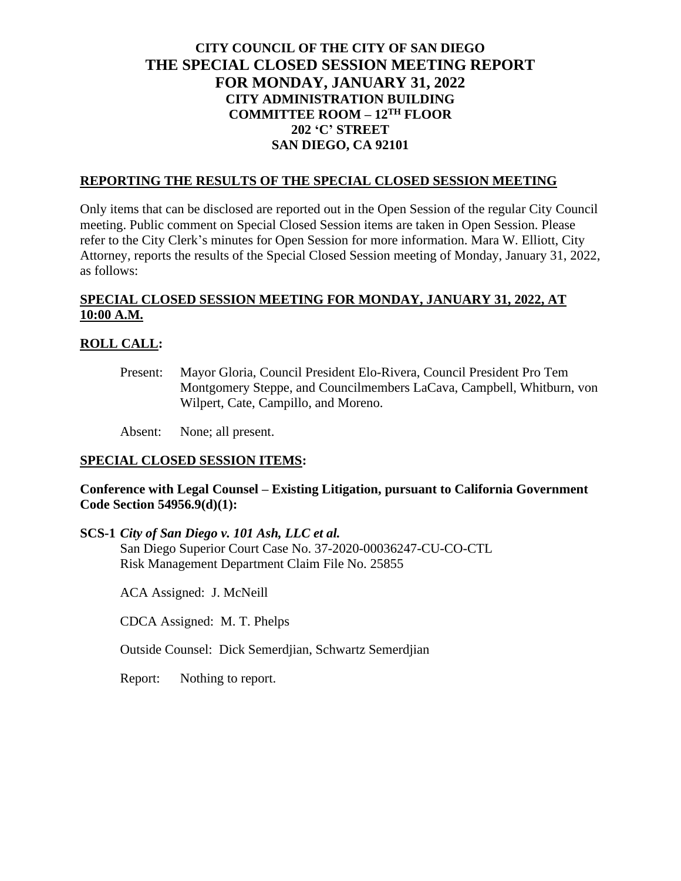# **CITY COUNCIL OF THE CITY OF SAN DIEGO THE SPECIAL CLOSED SESSION MEETING REPORT FOR MONDAY, JANUARY 31, 2022 CITY ADMINISTRATION BUILDING COMMITTEE ROOM – 12TH FLOOR 202 'C' STREET SAN DIEGO, CA 92101**

### **REPORTING THE RESULTS OF THE SPECIAL CLOSED SESSION MEETING**

Only items that can be disclosed are reported out in the Open Session of the regular City Council meeting. Public comment on Special Closed Session items are taken in Open Session. Please refer to the City Clerk's minutes for Open Session for more information. Mara W. Elliott, City Attorney, reports the results of the Special Closed Session meeting of Monday, January 31, 2022, as follows:

# **SPECIAL CLOSED SESSION MEETING FOR MONDAY, JANUARY 31, 2022, AT 10:00 A.M.**

## **ROLL CALL:**

Present: Mayor Gloria, Council President Elo-Rivera, Council President Pro Tem Montgomery Steppe, and Councilmembers LaCava, Campbell, Whitburn, von Wilpert, Cate, Campillo, and Moreno.

Absent: None; all present.

## **SPECIAL CLOSED SESSION ITEMS:**

## **Conference with Legal Counsel – Existing Litigation, pursuant to California Government Code Section 54956.9(d)(1):**

**SCS-1** *City of San Diego v. 101 Ash, LLC et al.*

San Diego Superior Court Case No. 37-2020-00036247-CU-CO-CTL Risk Management Department Claim File No. 25855

ACA Assigned: J. McNeill

CDCA Assigned: M. T. Phelps

Outside Counsel: Dick Semerdjian, Schwartz Semerdjian

Report: Nothing to report.